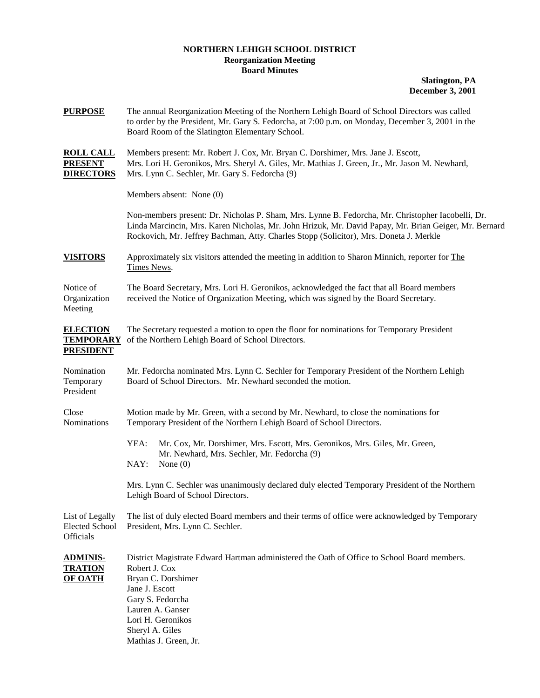## **NORTHERN LEHIGH SCHOOL DISTRICT Reorganization Meeting Board Minutes**

**Slatington, PA December 3, 2001**

| <b>PURPOSE</b>                                          | The annual Reorganization Meeting of the Northern Lehigh Board of School Directors was called<br>to order by the President, Mr. Gary S. Fedorcha, at 7:00 p.m. on Monday, December 3, 2001 in the<br>Board Room of the Slatington Elementary School.                                                 |
|---------------------------------------------------------|------------------------------------------------------------------------------------------------------------------------------------------------------------------------------------------------------------------------------------------------------------------------------------------------------|
| <b>ROLL CALL</b><br><b>PRESENT</b><br><b>DIRECTORS</b>  | Members present: Mr. Robert J. Cox, Mr. Bryan C. Dorshimer, Mrs. Jane J. Escott,<br>Mrs. Lori H. Geronikos, Mrs. Sheryl A. Giles, Mr. Mathias J. Green, Jr., Mr. Jason M. Newhard,<br>Mrs. Lynn C. Sechler, Mr. Gary S. Fedorcha (9)                                                                 |
|                                                         | Members absent: None (0)                                                                                                                                                                                                                                                                             |
|                                                         | Non-members present: Dr. Nicholas P. Sham, Mrs. Lynne B. Fedorcha, Mr. Christopher Iacobelli, Dr.<br>Linda Marcincin, Mrs. Karen Nicholas, Mr. John Hrizuk, Mr. David Papay, Mr. Brian Geiger, Mr. Bernard<br>Rockovich, Mr. Jeffrey Bachman, Atty. Charles Stopp (Solicitor), Mrs. Doneta J. Merkle |
| <b>VISITORS</b>                                         | Approximately six visitors attended the meeting in addition to Sharon Minnich, reporter for The<br>Times News.                                                                                                                                                                                       |
| Notice of<br>Organization<br>Meeting                    | The Board Secretary, Mrs. Lori H. Geronikos, acknowledged the fact that all Board members<br>received the Notice of Organization Meeting, which was signed by the Board Secretary.                                                                                                                   |
| <b>ELECTION</b><br><b>TEMPORARY</b><br><b>PRESIDENT</b> | The Secretary requested a motion to open the floor for nominations for Temporary President<br>of the Northern Lehigh Board of School Directors.                                                                                                                                                      |
| Nomination<br>Temporary<br>President                    | Mr. Fedorcha nominated Mrs. Lynn C. Sechler for Temporary President of the Northern Lehigh<br>Board of School Directors. Mr. Newhard seconded the motion.                                                                                                                                            |
| Close<br>Nominations                                    | Motion made by Mr. Green, with a second by Mr. Newhard, to close the nominations for<br>Temporary President of the Northern Lehigh Board of School Directors.                                                                                                                                        |
|                                                         | YEA:<br>Mr. Cox, Mr. Dorshimer, Mrs. Escott, Mrs. Geronikos, Mrs. Giles, Mr. Green,<br>Mr. Newhard, Mrs. Sechler, Mr. Fedorcha (9)<br>NAY:<br>None $(0)$                                                                                                                                             |
|                                                         | Mrs. Lynn C. Sechler was unanimously declared duly elected Temporary President of the Northern<br>Lehigh Board of School Directors.                                                                                                                                                                  |
| List of Legally<br><b>Elected School</b><br>Officials   | The list of duly elected Board members and their terms of office were acknowledged by Temporary<br>President, Mrs. Lynn C. Sechler.                                                                                                                                                                  |
| <b>ADMINIS-</b><br><b>TRATION</b><br><b>OF OATH</b>     | District Magistrate Edward Hartman administered the Oath of Office to School Board members.<br>Robert J. Cox<br>Bryan C. Dorshimer<br>Jane J. Escott<br>Gary S. Fedorcha<br>Lauren A. Ganser<br>Lori H. Geronikos<br>Sheryl A. Giles<br>Mathias J. Green, Jr.                                        |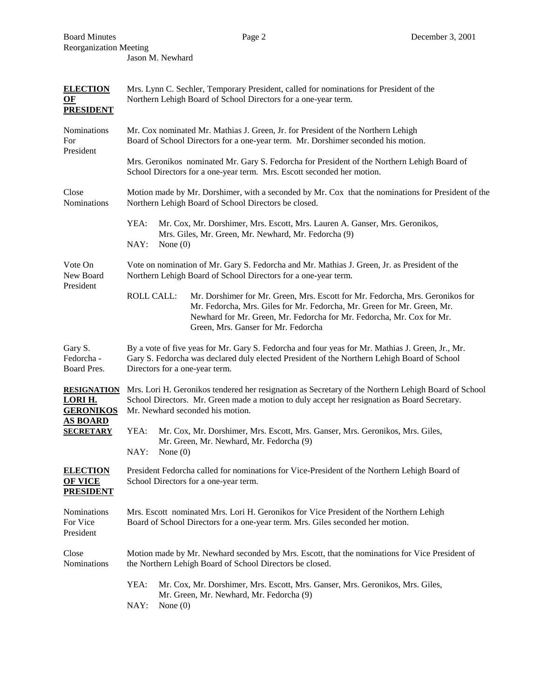| <b>ELECTION</b><br>OF<br><b>PRESIDENT</b>                          | Mrs. Lynn C. Sechler, Temporary President, called for nominations for President of the<br>Northern Lehigh Board of School Directors for a one-year term.                                                                                                                                      |
|--------------------------------------------------------------------|-----------------------------------------------------------------------------------------------------------------------------------------------------------------------------------------------------------------------------------------------------------------------------------------------|
| Nominations<br>For<br>President                                    | Mr. Cox nominated Mr. Mathias J. Green, Jr. for President of the Northern Lehigh<br>Board of School Directors for a one-year term. Mr. Dorshimer seconded his motion.                                                                                                                         |
|                                                                    | Mrs. Geronikos nominated Mr. Gary S. Fedorcha for President of the Northern Lehigh Board of<br>School Directors for a one-year term. Mrs. Escott seconded her motion.                                                                                                                         |
| Close<br>Nominations                                               | Motion made by Mr. Dorshimer, with a seconded by Mr. Cox that the nominations for President of the<br>Northern Lehigh Board of School Directors be closed.                                                                                                                                    |
|                                                                    | YEA:<br>Mr. Cox, Mr. Dorshimer, Mrs. Escott, Mrs. Lauren A. Ganser, Mrs. Geronikos,<br>Mrs. Giles, Mr. Green, Mr. Newhard, Mr. Fedorcha (9)<br>NAY:<br>None $(0)$                                                                                                                             |
| Vote On<br>New Board<br>President                                  | Vote on nomination of Mr. Gary S. Fedorcha and Mr. Mathias J. Green, Jr. as President of the<br>Northern Lehigh Board of School Directors for a one-year term.                                                                                                                                |
|                                                                    | <b>ROLL CALL:</b><br>Mr. Dorshimer for Mr. Green, Mrs. Escott for Mr. Fedorcha, Mrs. Geronikos for<br>Mr. Fedorcha, Mrs. Giles for Mr. Fedorcha, Mr. Green for Mr. Green, Mr.<br>Newhard for Mr. Green, Mr. Fedorcha for Mr. Fedorcha, Mr. Cox for Mr.<br>Green, Mrs. Ganser for Mr. Fedorcha |
| Gary S.<br>Fedorcha -<br>Board Pres.                               | By a vote of five yeas for Mr. Gary S. Fedorcha and four yeas for Mr. Mathias J. Green, Jr., Mr.<br>Gary S. Fedorcha was declared duly elected President of the Northern Lehigh Board of School<br>Directors for a one-year term.                                                             |
| LORI H.<br><b>GERONIKOS</b><br><b>AS BOARD</b><br><b>SECRETARY</b> | RESIGNATION Mrs. Lori H. Geronikos tendered her resignation as Secretary of the Northern Lehigh Board of School<br>School Directors. Mr. Green made a motion to duly accept her resignation as Board Secretary.<br>Mr. Newhard seconded his motion.                                           |
|                                                                    | YEA:<br>Mr. Cox, Mr. Dorshimer, Mrs. Escott, Mrs. Ganser, Mrs. Geronikos, Mrs. Giles,<br>Mr. Green, Mr. Newhard, Mr. Fedorcha (9)<br>NAY:<br>None $(0)$                                                                                                                                       |
| <b>ELECTION</b><br><b>OF VICE</b><br><b>PRESIDENT</b>              | President Fedorcha called for nominations for Vice-President of the Northern Lehigh Board of<br>School Directors for a one-year term.                                                                                                                                                         |
| Nominations<br>For Vice<br>President                               | Mrs. Escott nominated Mrs. Lori H. Geronikos for Vice President of the Northern Lehigh<br>Board of School Directors for a one-year term. Mrs. Giles seconded her motion.                                                                                                                      |
| Close<br>Nominations                                               | Motion made by Mr. Newhard seconded by Mrs. Escott, that the nominations for Vice President of<br>the Northern Lehigh Board of School Directors be closed.                                                                                                                                    |
|                                                                    | YEA:<br>Mr. Cox, Mr. Dorshimer, Mrs. Escott, Mrs. Ganser, Mrs. Geronikos, Mrs. Giles,<br>Mr. Green, Mr. Newhard, Mr. Fedorcha (9)<br>NAY:<br>None $(0)$                                                                                                                                       |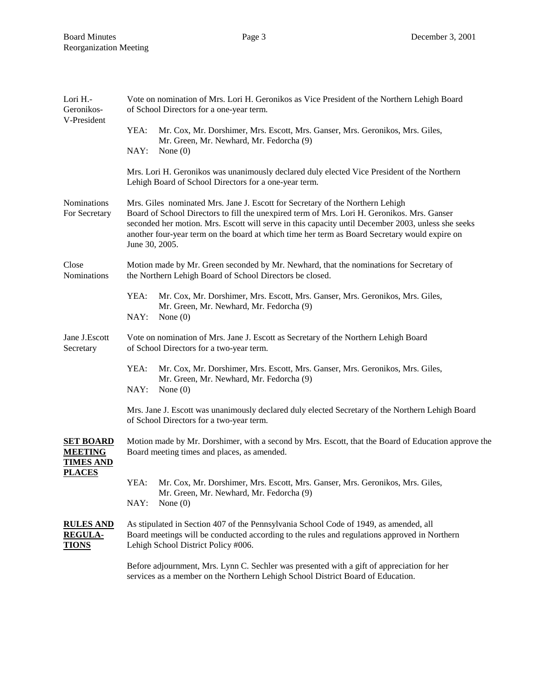| Lori H.-<br>Geronikos-<br>V-President                                   | Vote on nomination of Mrs. Lori H. Geronikos as Vice President of the Northern Lehigh Board<br>of School Directors for a one-year term.                                                                                                                                                                                                                                                               |
|-------------------------------------------------------------------------|-------------------------------------------------------------------------------------------------------------------------------------------------------------------------------------------------------------------------------------------------------------------------------------------------------------------------------------------------------------------------------------------------------|
|                                                                         | YEA:<br>Mr. Cox, Mr. Dorshimer, Mrs. Escott, Mrs. Ganser, Mrs. Geronikos, Mrs. Giles,<br>Mr. Green, Mr. Newhard, Mr. Fedorcha (9)                                                                                                                                                                                                                                                                     |
|                                                                         | NAY:<br>None $(0)$                                                                                                                                                                                                                                                                                                                                                                                    |
|                                                                         | Mrs. Lori H. Geronikos was unanimously declared duly elected Vice President of the Northern<br>Lehigh Board of School Directors for a one-year term.                                                                                                                                                                                                                                                  |
| Nominations<br>For Secretary                                            | Mrs. Giles nominated Mrs. Jane J. Escott for Secretary of the Northern Lehigh<br>Board of School Directors to fill the unexpired term of Mrs. Lori H. Geronikos. Mrs. Ganser<br>seconded her motion. Mrs. Escott will serve in this capacity until December 2003, unless she seeks<br>another four-year term on the board at which time her term as Board Secretary would expire on<br>June 30, 2005. |
| Close<br>Nominations                                                    | Motion made by Mr. Green seconded by Mr. Newhard, that the nominations for Secretary of<br>the Northern Lehigh Board of School Directors be closed.                                                                                                                                                                                                                                                   |
|                                                                         | YEA:<br>Mr. Cox, Mr. Dorshimer, Mrs. Escott, Mrs. Ganser, Mrs. Geronikos, Mrs. Giles,                                                                                                                                                                                                                                                                                                                 |
|                                                                         | Mr. Green, Mr. Newhard, Mr. Fedorcha (9)<br>NAY:<br>None $(0)$                                                                                                                                                                                                                                                                                                                                        |
| Jane J.Escott<br>Secretary                                              | Vote on nomination of Mrs. Jane J. Escott as Secretary of the Northern Lehigh Board<br>of School Directors for a two-year term.                                                                                                                                                                                                                                                                       |
|                                                                         | YEA:<br>Mr. Cox, Mr. Dorshimer, Mrs. Escott, Mrs. Ganser, Mrs. Geronikos, Mrs. Giles,<br>Mr. Green, Mr. Newhard, Mr. Fedorcha (9)<br>NAY:<br>None $(0)$                                                                                                                                                                                                                                               |
|                                                                         | Mrs. Jane J. Escott was unanimously declared duly elected Secretary of the Northern Lehigh Board<br>of School Directors for a two-year term.                                                                                                                                                                                                                                                          |
| <b>SET BOARD</b><br><b>MEETING</b><br><b>TIMES AND</b><br><b>PLACES</b> | Motion made by Mr. Dorshimer, with a second by Mrs. Escott, that the Board of Education approve the<br>Board meeting times and places, as amended.                                                                                                                                                                                                                                                    |
|                                                                         | YEA:<br>Mr. Cox, Mr. Dorshimer, Mrs. Escott, Mrs. Ganser, Mrs. Geronikos, Mrs. Giles,<br>Mr. Green, Mr. Newhard, Mr. Fedorcha (9)                                                                                                                                                                                                                                                                     |
|                                                                         | NAY:<br>None $(0)$                                                                                                                                                                                                                                                                                                                                                                                    |
| <b>RULES AND</b><br><b>REGULA-</b><br><u>TIONS</u>                      | As stipulated in Section 407 of the Pennsylvania School Code of 1949, as amended, all<br>Board meetings will be conducted according to the rules and regulations approved in Northern<br>Lehigh School District Policy #006.                                                                                                                                                                          |
|                                                                         | Before adjournment, Mrs. Lynn C. Sechler was presented with a gift of appreciation for her<br>services as a member on the Northern Lehigh School District Board of Education.                                                                                                                                                                                                                         |